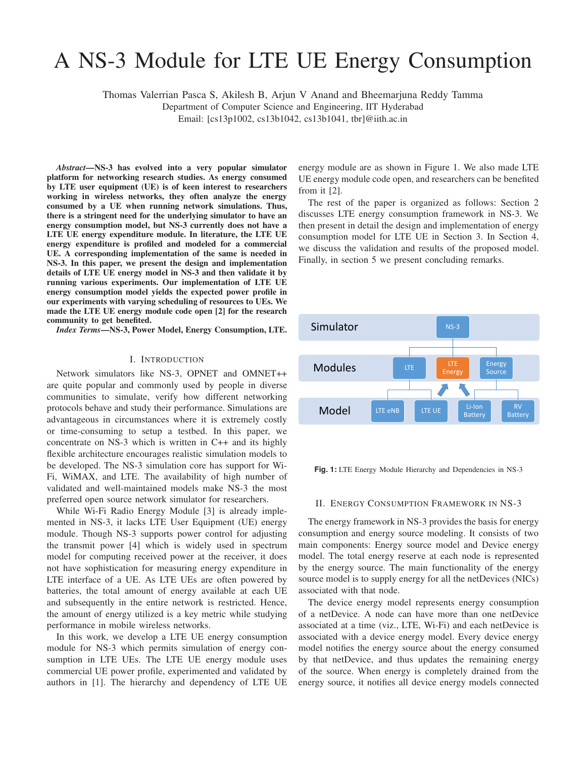# A NS-3 Module for LTE UE Energy Consumption

Thomas Valerrian Pasca S, Akilesh B, Arjun V Anand and Bheemarjuna Reddy Tamma

Department of Computer Science and Engineering, IIT Hyderabad

Email: [cs13p1002, cs13b1042, cs13b1041, tbr]@iith.ac.in

*Abstract*—NS-3 has evolved into a very popular simulator platform for networking research studies. As energy consumed by LTE user equipment (UE) is of keen interest to researchers working in wireless networks, they often analyze the energy consumed by a UE when running network simulations. Thus, there is a stringent need for the underlying simulator to have an energy consumption model, but NS-3 currently does not have a LTE UE energy expenditure module. In literature, the LTE UE energy expenditure is profiled and modeled for a commercial UE. A corresponding implementation of the same is needed in NS-3. In this paper, we present the design and implementation details of LTE UE energy model in NS-3 and then validate it by running various experiments. Our implementation of LTE UE energy consumption model yields the expected power profile in our experiments with varying scheduling of resources to UEs. We made the LTE UE energy module code open [2] for the research community to get benefited.

*Index Terms*—NS-3, Power Model, Energy Consumption, LTE.

#### I. INTRODUCTION

Network simulators like NS-3, OPNET and OMNET++ are quite popular and commonly used by people in diverse communities to simulate, verify how different networking protocols behave and study their performance. Simulations are advantageous in circumstances where it is extremely costly or time-consuming to setup a testbed. In this paper, we concentrate on NS-3 which is written in C++ and its highly flexible architecture encourages realistic simulation models to be developed. The NS-3 simulation core has support for Wi-Fi, WiMAX, and LTE. The availability of high number of validated and well-maintained models make NS-3 the most preferred open source network simulator for researchers.

While Wi-Fi Radio Energy Module [3] is already implemented in NS-3, it lacks LTE User Equipment (UE) energy module. Though NS-3 supports power control for adjusting the transmit power [4] which is widely used in spectrum model for computing received power at the receiver, it does not have sophistication for measuring energy expenditure in LTE interface of a UE. As LTE UEs are often powered by batteries, the total amount of energy available at each UE and subsequently in the entire network is restricted. Hence, the amount of energy utilized is a key metric while studying performance in mobile wireless networks.

In this work, we develop a LTE UE energy consumption module for NS-3 which permits simulation of energy consumption in LTE UEs. The LTE UE energy module uses commercial UE power profile, experimented and validated by authors in [1]. The hierarchy and dependency of LTE UE energy module are as shown in Figure 1. We also made LTE UE energy module code open, and researchers can be benefited from it [2].

The rest of the paper is organized as follows: Section 2 discusses LTE energy consumption framework in NS-3. We then present in detail the design and implementation of energy consumption model for LTE UE in Section 3. In Section 4, we discuss the validation and results of the proposed model. Finally, in section 5 we present concluding remarks.



Fig. 1: LTE Energy Module Hierarchy and Dependencies in NS-3

#### II. ENERGY CONSUMPTION FRAMEWORK IN NS-3

The energy framework in NS-3 provides the basis for energy consumption and energy source modeling. It consists of two main components: Energy source model and Device energy model. The total energy reserve at each node is represented by the energy source. The main functionality of the energy source model is to supply energy for all the netDevices (NICs) associated with that node.

The device energy model represents energy consumption of a netDevice. A node can have more than one netDevice associated at a time (viz., LTE, Wi-Fi) and each netDevice is associated with a device energy model. Every device energy model notifies the energy source about the energy consumed by that netDevice, and thus updates the remaining energy of the source. When energy is completely drained from the energy source, it notifies all device energy models connected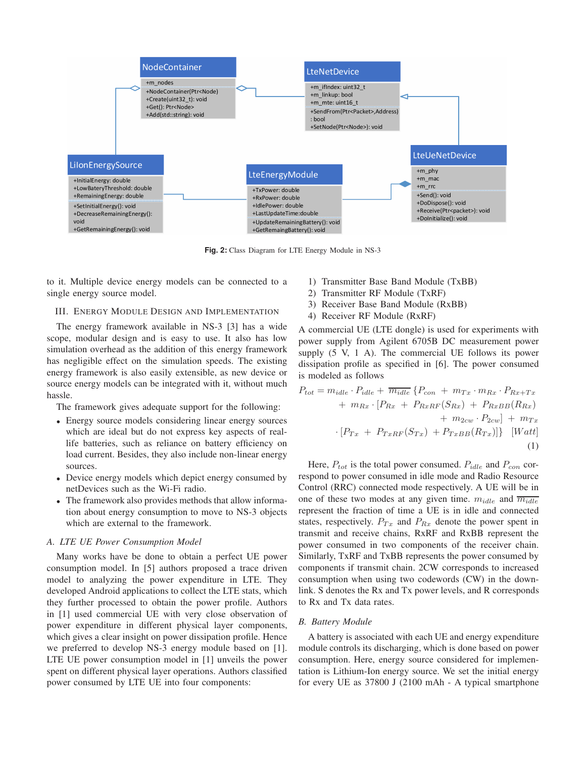

**Fig. 2:** Class Diagram for LTE Energy Module in NS-3

to it. Multiple device energy models can be connected to a single energy source model.

#### III. ENERGY MODULE DESIGN AND IMPLEMENTATION

The energy framework available in NS-3 [3] has a wide scope, modular design and is easy to use. It also has low simulation overhead as the addition of this energy framework has negligible effect on the simulation speeds. The existing energy framework is also easily extensible, as new device or source energy models can be integrated with it, without much hassle.

The framework gives adequate support for the following:

- Energy source models considering linear energy sources which are ideal but do not express key aspects of reallife batteries, such as reliance on battery efficiency on load current. Besides, they also include non-linear energy sources.
- Device energy models which depict energy consumed by netDevices such as the Wi-Fi radio.
- The framework also provides methods that allow information about energy consumption to move to NS-3 objects which are external to the framework.

### *A. LTE UE Power Consumption Model*

Many works have be done to obtain a perfect UE power consumption model. In [5] authors proposed a trace driven model to analyzing the power expenditure in LTE. They developed Android applications to collect the LTE stats, which they further processed to obtain the power profile. Authors in [1] used commercial UE with very close observation of power expenditure in different physical layer components, which gives a clear insight on power dissipation profile. Hence we preferred to develop NS-3 energy module based on [1]. LTE UE power consumption model in [1] unveils the power spent on different physical layer operations. Authors classified power consumed by LTE UE into four components:

- 1) Transmitter Base Band Module (TxBB)
- 2) Transmitter RF Module (TxRF)
- 3) Receiver Base Band Module (RxBB)
- 4) Receiver RF Module (RxRF)

A commercial UE (LTE dongle) is used for experiments with power supply from Agilent 6705B DC measurement power supply (5 V, 1 A). The commercial UE follows its power dissipation profile as specified in [6]. The power consumed is modeled as follows

$$
P_{tot} = m_{idle} \cdot P_{idle} + \overline{m_{idle}} \left\{ P_{con} + m_{Tx} \cdot m_{Rx} \cdot P_{Rx+Tx} \right. \\ \left. + m_{Rx} \cdot \left[ P_{Rx} + P_{RxRF}(S_{Rx}) + P_{RxBB}(R_{Rx}) \right. \\ \left. + m_{2cw} \cdot P_{2cw} \right] + m_{Tx} \\ \cdot \left[ P_{Tx} + P_{TxRF}(S_{Tx}) + P_{TxBB}(R_{Tx}) \right] \right\} \left[ Watt \right] \tag{1}
$$

Here,  $P_{tot}$  is the total power consumed.  $P_{idle}$  and  $P_{con}$  correspond to power consumed in idle mode and Radio Resource Control (RRC) connected mode respectively. A UE will be in one of these two modes at any given time.  $m_{idle}$  and  $\overline{m_{idle}}$ represent the fraction of time a UE is in idle and connected states, respectively.  $P_{Tx}$  and  $P_{Rx}$  denote the power spent in transmit and receive chains, RxRF and RxBB represent the power consumed in two components of the receiver chain. Similarly, TxRF and TxBB represents the power consumed by components if transmit chain. 2CW corresponds to increased consumption when using two codewords (CW) in the downlink. S denotes the Rx and Tx power levels, and R corresponds to Rx and Tx data rates.

#### *B. Battery Module*

A battery is associated with each UE and energy expenditure module controls its discharging, which is done based on power consumption. Here, energy source considered for implementation is Lithium-Ion energy source. We set the initial energy for every UE as 37800 J (2100 mAh - A typical smartphone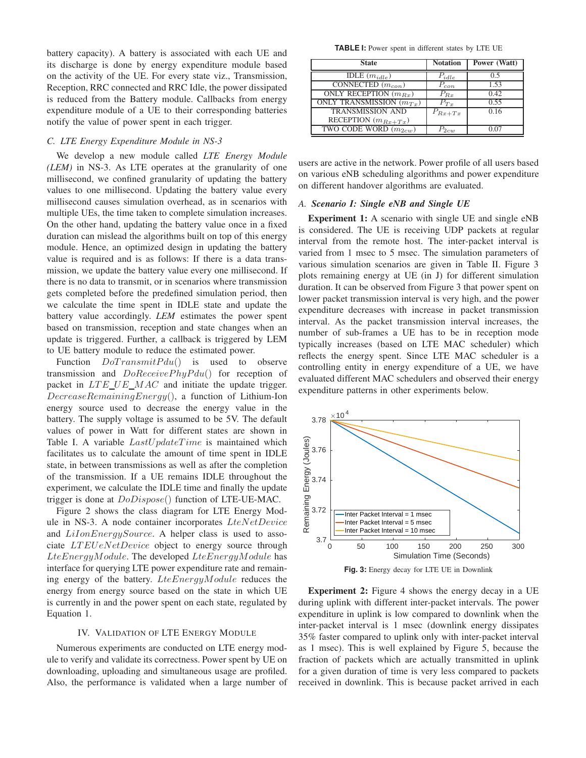battery capacity). A battery is associated with each UE and its discharge is done by energy expenditure module based on the activity of the UE. For every state viz., Transmission, Reception, RRC connected and RRC Idle, the power dissipated is reduced from the Battery module. Callbacks from energy expenditure module of a UE to their corresponding batteries notify the value of power spent in each trigger.

#### *C. LTE Energy Expenditure Module in NS-3*

We develop a new module called *LTE Energy Module (LEM)* in NS-3. As LTE operates at the granularity of one millisecond, we confined granularity of updating the battery values to one millisecond. Updating the battery value every millisecond causes simulation overhead, as in scenarios with multiple UEs, the time taken to complete simulation increases. On the other hand, updating the battery value once in a fixed duration can mislead the algorithms built on top of this energy module. Hence, an optimized design in updating the battery value is required and is as follows: If there is a data transmission, we update the battery value every one millisecond. If there is no data to transmit, or in scenarios where transmission gets completed before the predefined simulation period, then we calculate the time spent in IDLE state and update the battery value accordingly. *LEM* estimates the power spent based on transmission, reception and state changes when an update is triggered. Further, a callback is triggered by LEM to UE battery module to reduce the estimated power.

Function  $DoTransmit P du()$  is used to observe transmission and  $DoReceivePhyP du()$  for reception of packet in  $LTE\_UE\_MAC$  and initiate the update trigger.  $DecreaseRemainingEnergy()$ , a function of Lithium-Ion energy source used to decrease the energy value in the battery. The supply voltage is assumed to be 5V. The default values of power in Watt for different states are shown in Table I. A variable  $LastUpdateTime$  is maintained which facilitates us to calculate the amount of time spent in IDLE state, in between transmissions as well as after the completion of the transmission. If a UE remains IDLE throughout the experiment, we calculate the IDLE time and finally the update trigger is done at DoDispose() function of LTE-UE-MAC.

Figure 2 shows the class diagram for LTE Energy Module in NS-3. A node container incorporates LteNetDevice and LiIonEnergySource. A helper class is used to associate *LTEUeNetDevice* object to energy source through  $LteEnergyModule$ . The developed  $LteEnergyModule$  has interface for querying LTE power expenditure rate and remaining energy of the battery. LteEnergyModule reduces the energy from energy source based on the state in which UE is currently in and the power spent on each state, regulated by Equation 1.

#### IV. VALIDATION OF LTE ENERGY MODULE

Numerous experiments are conducted on LTE energy module to verify and validate its correctness. Power spent by UE on downloading, uploading and simultaneous usage are profiled. Also, the performance is validated when a large number of

**TABLE I:** Power spent in different states by LTE UE

| <b>State</b>                          | <b>Notation</b> | Power (Watt) |
|---------------------------------------|-----------------|--------------|
| $\overline{\text{IDLE}}$ $(m_{idle})$ | $P_{idle}$      |              |
| CONNECTED $(m_{con})$                 | $P_{con}$       | 1.53         |
| ONLY RECEPTION $(m_{Rx})$             | $P_{Br}$        | 0.42         |
| ONLY TRANSMISSION $(m_{Tx})$          | $P_{T\tau}$     | 0.55         |
| <b>TRANSMISSION AND</b>               | $P_{Rx+Tx}$     | 0.16         |
| RECEPTION $(m_{Rx+Tx})$               |                 |              |
| TWO CODE WORD $(m_{2cw})$             | 2cuv            |              |

users are active in the network. Power profile of all users based on various eNB scheduling algorithms and power expenditure on different handover algorithms are evaluated.

## *A. Scenario I: Single eNB and Single UE*

Experiment 1: A scenario with single UE and single eNB is considered. The UE is receiving UDP packets at regular interval from the remote host. The inter-packet interval is varied from 1 msec to 5 msec. The simulation parameters of various simulation scenarios are given in Table II. Figure 3 plots remaining energy at UE (in J) for different simulation duration. It can be observed from Figure 3 that power spent on lower packet transmission interval is very high, and the power expenditure decreases with increase in packet transmission interval. As the packet transmission interval increases, the number of sub-frames a UE has to be in reception mode typically increases (based on LTE MAC scheduler) which reflects the energy spent. Since LTE MAC scheduler is a controlling entity in energy expenditure of a UE, we have evaluated different MAC schedulers and observed their energy expenditure patterns in other experiments below.



**Fig. 3:** Energy decay for LTE UE in Downlink

Experiment 2: Figure 4 shows the energy decay in a UE during uplink with different inter-packet intervals. The power expenditure in uplink is low compared to downlink when the inter-packet interval is 1 msec (downlink energy dissipates 35% faster compared to uplink only with inter-packet interval as 1 msec). This is well explained by Figure 5, because the fraction of packets which are actually transmitted in uplink for a given duration of time is very less compared to packets received in downlink. This is because packet arrived in each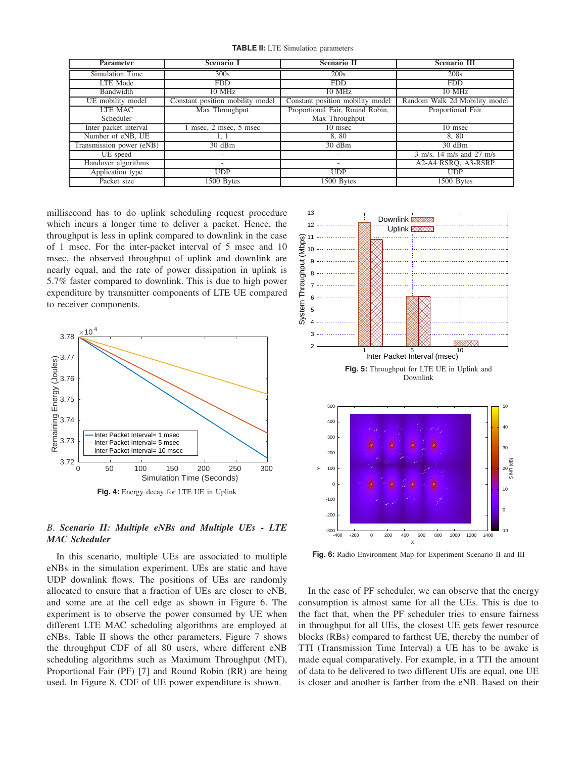**TABLE II:** LTE Simulation parameters

| <b>Parameter</b>         | <b>Scenario I</b>                | <b>Scenario II</b>               | <b>Scenario III</b>           |
|--------------------------|----------------------------------|----------------------------------|-------------------------------|
| Simulation Time          | 300s                             | 200s                             | 200s                          |
| LTE Mode                 | <b>FDD</b>                       | <b>FDD</b>                       | <b>FDD</b>                    |
| Bandwidth                | $10$ MHz                         | $10$ MHz                         | 10 MHz                        |
| UE mobility model        | Constant position mobility model | Constant position mobility model | Random Walk 2d Mobility model |
| <b>LTE MAC</b>           | Max Throughput                   | Proportional Fair, Round Robin,  | Proportional Fair             |
| Scheduler                |                                  | Max Throughput                   |                               |
| Inter packet interval    | msec, 2 msec, 5 msec             | 10 msec                          | $\overline{10}$ msec          |
| Number of eNB, UE        | 1, 1                             | 8,80                             | 8,80                          |
| Transmission power (eNB) | $30 \text{ dBm}$                 | $30 \text{ dBm}$                 | $30 \text{ dBm}$              |
| UE speed                 | $\overline{\phantom{a}}$         | ٠                                | 3 m/s, 14 m/s and 27 m/s      |
| Handover algorithms      |                                  | $\overline{\phantom{a}}$         | A2-A4 RSRO, A3-RSRP           |
| Application type         | <b>UDP</b>                       | <b>UDP</b>                       | <b>UDP</b>                    |
| Packet size              | 1500 Bytes                       | 1500 Bytes                       | 1500 Bytes                    |

millisecond has to do uplink scheduling request procedure which incurs a longer time to deliver a packet. Hence, the throughput is less in uplink compared to downlink in the case of 1 msec. For the inter-packet interval of 5 msec and 10 msec, the observed throughput of uplink and downlink are nearly equal, and the rate of power dissipation in uplink is 5.7% faster compared to downlink. This is due to high power expenditure by transmitter components of LTE UE compared to receiver components.



# *B. Scenario II: Multiple eNBs and Multiple UEs - LTE MAC Scheduler*

In this scenario, multiple UEs are associated to multiple eNBs in the simulation experiment. UEs are static and have UDP downlink flows. The positions of UEs are randomly allocated to ensure that a fraction of UEs are closer to eNB, and some are at the cell edge as shown in Figure 6. The experiment is to observe the power consumed by UE when different LTE MAC scheduling algorithms are employed at eNBs. Table II shows the other parameters. Figure 7 shows the throughput CDF of all 80 users, where different eNB scheduling algorithms such as Maximum Throughput (MT), Proportional Fair (PF) [7] and Round Robin (RR) are being used. In Figure 8, CDF of UE power expenditure is shown.



**Fig. 6:** Radio Environment Map for Experiment Scenario II and III

In the case of PF scheduler, we can observe that the energy consumption is almost same for all the UEs. This is due to the fact that, when the PF scheduler tries to ensure fairness in throughput for all UEs, the closest UE gets fewer resource blocks (RBs) compared to farthest UE, thereby the number of TTI (Transmission Time Interval) a UE has to be awake is made equal comparatively. For example, in a TTI the amount of data to be delivered to two different UEs are equal, one UE is closer and another is farther from the eNB. Based on their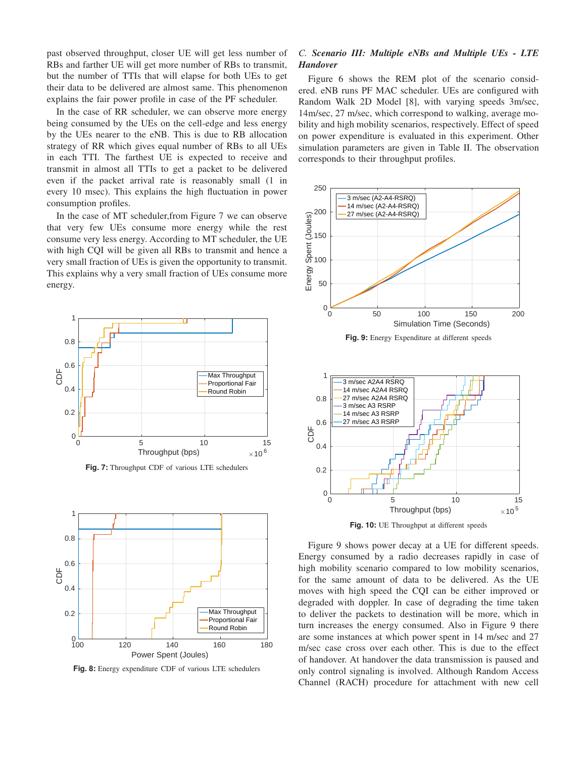past observed throughput, closer UE will get less number of RBs and farther UE will get more number of RBs to transmit, but the number of TTIs that will elapse for both UEs to get their data to be delivered are almost same. This phenomenon explains the fair power profile in case of the PF scheduler.

In the case of RR scheduler, we can observe more energy being consumed by the UEs on the cell-edge and less energy by the UEs nearer to the eNB. This is due to RB allocation strategy of RR which gives equal number of RBs to all UEs in each TTI. The farthest UE is expected to receive and transmit in almost all TTIs to get a packet to be delivered even if the packet arrival rate is reasonably small (1 in every 10 msec). This explains the high fluctuation in power consumption profiles.

In the case of MT scheduler,from Figure 7 we can observe that very few UEs consume more energy while the rest consume very less energy. According to MT scheduler, the UE with high CQI will be given all RBs to transmit and hence a very small fraction of UEs is given the opportunity to transmit. This explains why a very small fraction of UEs consume more energy.



**Fig. 7:** Throughput CDF of various LTE schedulers



**Fig. 8:** Energy expenditure CDF of various LTE schedulers

## *C. Scenario III: Multiple eNBs and Multiple UEs - LTE Handover*

Figure 6 shows the REM plot of the scenario considered. eNB runs PF MAC scheduler. UEs are configured with Random Walk 2D Model [8], with varying speeds 3m/sec, 14m/sec, 27 m/sec, which correspond to walking, average mobility and high mobility scenarios, respectively. Effect of speed on power expenditure is evaluated in this experiment. Other simulation parameters are given in Table II. The observation corresponds to their throughput profiles.



**Fig. 10:** UE Throughput at different speeds

Figure 9 shows power decay at a UE for different speeds. Energy consumed by a radio decreases rapidly in case of high mobility scenario compared to low mobility scenarios, for the same amount of data to be delivered. As the UE moves with high speed the CQI can be either improved or degraded with doppler. In case of degrading the time taken to deliver the packets to destination will be more, which in turn increases the energy consumed. Also in Figure 9 there are some instances at which power spent in 14 m/sec and 27 m/sec case cross over each other. This is due to the effect of handover. At handover the data transmission is paused and only control signaling is involved. Although Random Access Channel (RACH) procedure for attachment with new cell